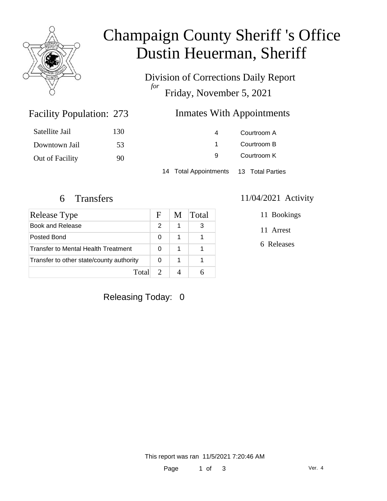

## Champaign County Sheriff 's Office Dustin Heuerman, Sheriff

Division of Corrections Daily Report *for* Friday, November 5, 2021

### Inmates With Appointments

| Satellite Jail  | 130 | $\overline{a}$                         | Courtroom A |
|-----------------|-----|----------------------------------------|-------------|
| Downtown Jail   | 53  |                                        | Courtroom B |
| Out of Facility | 90  | 9                                      | Courtroom K |
|                 |     | 14 Total Appointments 13 Total Parties |             |

Facility Population: 273

| Release Type                               | F             | M | Total |
|--------------------------------------------|---------------|---|-------|
| Book and Release                           | $\mathcal{P}$ | 1 | 3     |
| Posted Bond                                | 0             | 1 |       |
| <b>Transfer to Mental Health Treatment</b> |               | 1 |       |
| Transfer to other state/county authority   |               | 1 |       |
| Total                                      |               |   |       |

#### 6 Transfers 11/04/2021 Activity

11 Bookings

11 Arrest

6 Releases

Releasing Today: 0

This report was ran 11/5/2021 7:20:46 AM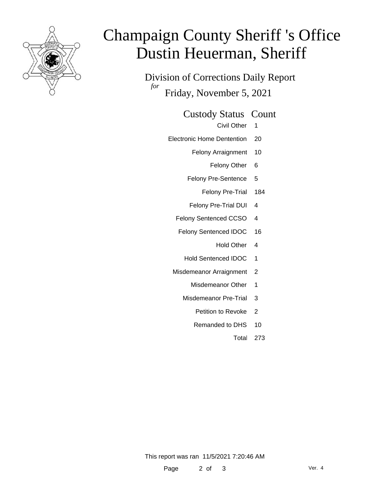

# Champaign County Sheriff 's Office Dustin Heuerman, Sheriff

Division of Corrections Daily Report *for* Friday, November 5, 2021

#### Custody Status Count

- Civil Other 1
- Electronic Home Dentention 20
	- Felony Arraignment 10
		- Felony Other 6
	- Felony Pre-Sentence 5
		- Felony Pre-Trial 184
	- Felony Pre-Trial DUI 4
	- Felony Sentenced CCSO 4
	- Felony Sentenced IDOC 16
		- Hold Other 4
		- Hold Sentenced IDOC 1
	- Misdemeanor Arraignment 2
		- Misdemeanor Other 1
		- Misdemeanor Pre-Trial 3
			- Petition to Revoke 2
			- Remanded to DHS 10
				- Total 273